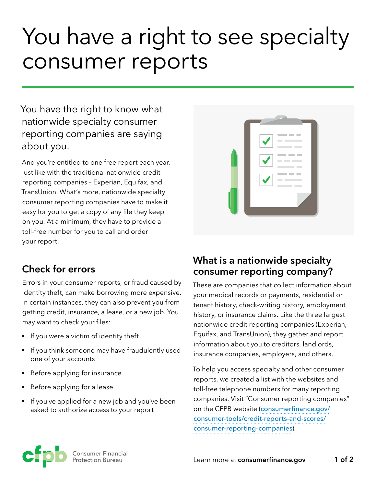# You have a right to see specialty consumer reports

You have the right to know what nationwide specialty consumer reporting companies are saying about you.

And you're entitled to one free report each year, just like with the traditional nationwide credit reporting companies – Experian, Equifax, and TransUnion. What's more, nationwide specialty consumer reporting companies have to make it easy for you to get a copy of any file they keep on you. At a minimum, they have to provide a toll-free number for you to call and order your report.



## **Check for errors**

Errors in your consumer reports, or fraud caused by identity theft, can make borrowing more expensive. In certain instances, they can also prevent you from getting credit, insurance, a lease, or a new job. You may want to check your files:

- **•** If you were a victim of identity theft
- If you think someone may have fraudulently used one of your accounts
- Before applying for insurance
- § Before applying for a lease
- If you've applied for a new job and you've been asked to authorize access to your report

## **What is a nationwide specialty consumer reporting company?**

These are companies that collect information about your medical records or payments, residential or tenant history, check-writing history, employment history, or insurance claims. Like the three largest nationwide credit reporting companies (Experian, Equifax, and TransUnion), they gather and report information about you to creditors, landlords, insurance companies, employers, and others.

To help you access specialty and other consumer reports, we created a list with the websites and toll-free telephone numbers for many reporting companies. Visit "Consumer reporting companies" on the CFPB website ([consumerfinance.gov/](https://www.consumerfinance.gov/consumer-tools/credit-reports-and-scores/consumer-reporting-companies) [consumer-tools/credit-reports-and-scores/](https://www.consumerfinance.gov/consumer-tools/credit-reports-and-scores/consumer-reporting-companies) [consumer-reporting-companies](https://www.consumerfinance.gov/consumer-tools/credit-reports-and-scores/consumer-reporting-companies)).